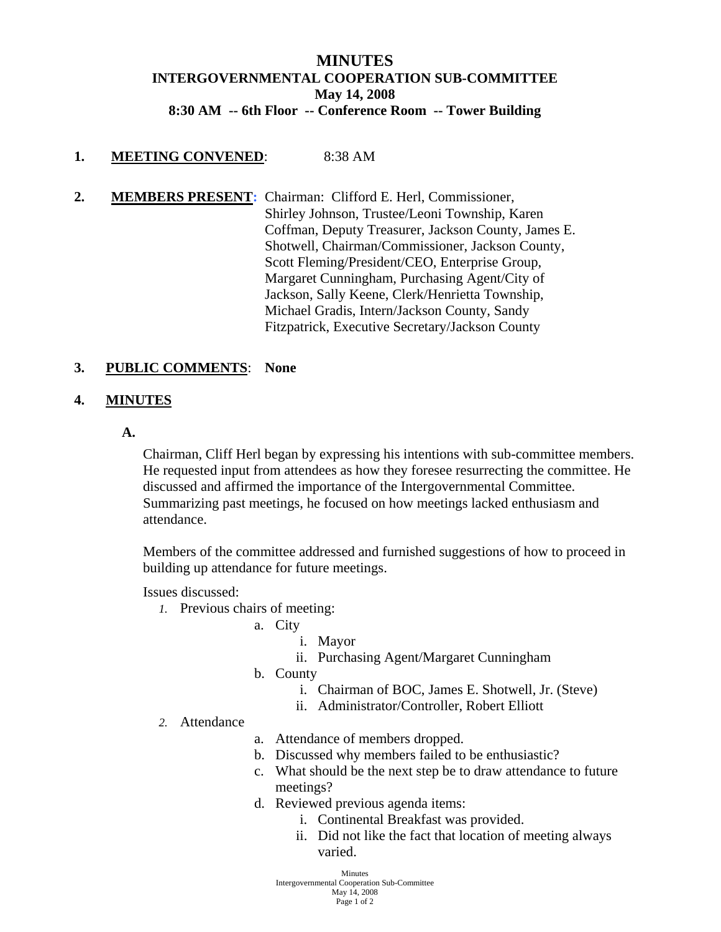# **MINUTES INTERGOVERNMENTAL COOPERATION SUB-COMMITTEE May 14, 2008 8:30 AM -- 6th Floor -- Conference Room -- Tower Building**

## **1. MEETING CONVENED**: 8:38 AM

**2. MEMBERS PRESENT:** Chairman: Clifford E. Herl, Commissioner, Shirley Johnson, Trustee/Leoni Township, Karen Coffman, Deputy Treasurer, Jackson County, James E. Shotwell, Chairman/Commissioner, Jackson County, Scott Fleming/President/CEO, Enterprise Group, Margaret Cunningham, Purchasing Agent/City of Jackson, Sally Keene, Clerk/Henrietta Township, Michael Gradis, Intern/Jackson County, Sandy Fitzpatrick, Executive Secretary/Jackson County

### **3. PUBLIC COMMENTS**: **None**

### **4. MINUTES**

**A.**

Chairman, Cliff Herl began by expressing his intentions with sub-committee members. He requested input from attendees as how they foresee resurrecting the committee. He discussed and affirmed the importance of the Intergovernmental Committee. Summarizing past meetings, he focused on how meetings lacked enthusiasm and attendance.

Members of the committee addressed and furnished suggestions of how to proceed in building up attendance for future meetings.

Issues discussed:

- *1.* Previous chairs of meeting:
	- a. City
		- i. Mayor

ii. Purchasing Agent/Margaret Cunningham

- b. County
	- i. Chairman of BOC, James E. Shotwell, Jr. (Steve)
	- ii. Administrator/Controller, Robert Elliott

#### *2.* Attendance

- a. Attendance of members dropped.
- b. Discussed why members failed to be enthusiastic?
- c. What should be the next step be to draw attendance to future meetings?
- d. Reviewed previous agenda items:
	- i. Continental Breakfast was provided.
	- ii. Did not like the fact that location of meeting always varied.